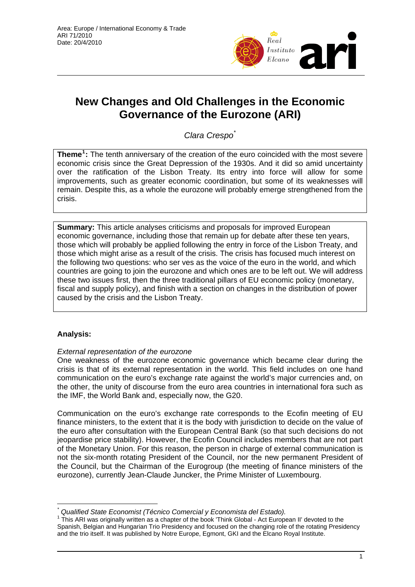

# **New Changes and Old Challenges in the Economic Governance of the Eurozone (ARI)**

*Clara Crespo*[\\*](#page-0-0)

**Theme[1](#page-0-1) :** The tenth anniversary of the creation of the euro coincided with the most severe economic crisis since the Great Depression of the 1930s. And it did so amid uncertainty over the ratification of the Lisbon Treaty. Its entry into force will allow for some improvements, such as greater economic coordination, but some of its weaknesses will remain. Despite this, as a whole the eurozone will probably emerge strengthened from the crisis.

**Summary:** This article analyses criticisms and proposals for improved European economic governance, including those that remain up for debate after these ten years, those which will probably be applied following the entry in force of the Lisbon Treaty, and those which might arise as a result of the crisis. The crisis has focused much interest on the following two questions: who ser ves as the voice of the euro in the world, and which countries are going to join the eurozone and which ones are to be left out. We will address these two issues first, then the three traditional pillars of EU economic policy (monetary, fiscal and supply policy), and finish with a section on changes in the distribution of power caused by the crisis and the Lisbon Treaty.

## **Analysis:**

 $\overline{a}$ 

### *External representation of the eurozone*

One weakness of the eurozone economic governance which became clear during the crisis is that of its external representation in the world. This field includes on one hand communication on the euro's exchange rate against the world's major currencies and, on the other, the unity of discourse from the euro area countries in international fora such as the IMF, the World Bank and, especially now, the G20.

Communication on the euro's exchange rate corresponds to the Ecofin meeting of EU finance ministers, to the extent that it is the body with jurisdiction to decide on the value of the euro after consultation with the European Central Bank (so that such decisions do not jeopardise price stability). However, the Ecofin Council includes members that are not part of the Monetary Union. For this reason, the person in charge of external communication is not the six-month rotating President of the Council, nor the new permanent President of the Council, but the Chairman of the Eurogroup (the meeting of finance ministers of the eurozone), currently Jean-Claude Juncker, the Prime Minister of Luxembourg.

*<sup>\*</sup> Qualified State Economist (Técnico Comercial y Economista del Estado).* 

<span id="page-0-1"></span><span id="page-0-0"></span><sup>&</sup>lt;sup>1</sup> This ARI was originally written as a chapter of the book 'Think Global - Act European II' devoted to the Spanish, Belgian and Hungarian Trio Presidency and focused on the changing role of the rotating Presidency and the trio itself. It was published by Notre Europe, Egmont, GKI and the Elcano Royal Institute.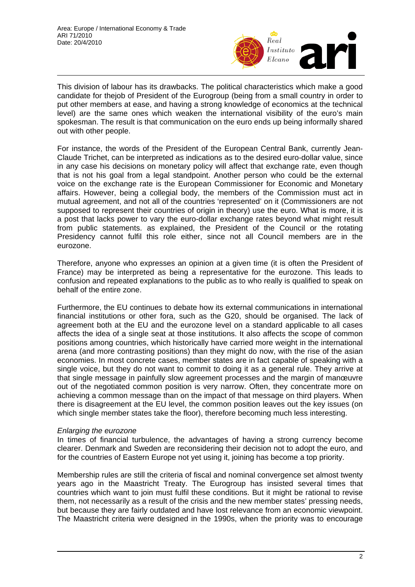

This division of labour has its drawbacks. The political characteristics which make a good candidate for thejob of President of the Eurogroup (being from a small country in order to put other members at ease, and having a strong knowledge of economics at the technical level) are the same ones which weaken the international visibility of the euro's main spokesman. The result is that communication on the euro ends up being informally shared out with other people.

For instance, the words of the President of the European Central Bank, currently Jean-Claude Trichet, can be interpreted as indications as to the desired euro-dollar value, since in any case his decisions on monetary policy will affect that exchange rate, even though that is not his goal from a legal standpoint. Another person who could be the external voice on the exchange rate is the European Commissioner for Economic and Monetary affairs. However, being a collegial body, the members of the Commission must act in mutual agreement, and not all of the countries 'represented' on it (Commissioners are not supposed to represent their countries of origin in theory) use the euro. What is more, it is a post that lacks power to vary the euro-dollar exchange rates beyond what might result from public statements. as explained, the President of the Council or the rotating Presidency cannot fulfil this role either, since not all Council members are in the eurozone.

Therefore, anyone who expresses an opinion at a given time (it is often the President of France) may be interpreted as being a representative for the eurozone. This leads to confusion and repeated explanations to the public as to who really is qualified to speak on behalf of the entire zone.

Furthermore, the EU continues to debate how its external communications in international financial institutions or other fora, such as the G20, should be organised. The lack of agreement both at the EU and the eurozone level on a standard applicable to all cases affects the idea of a single seat at those institutions. It also affects the scope of common positions among countries, which historically have carried more weight in the international arena (and more contrasting positions) than they might do now, with the rise of the asian economies. In most concrete cases, member states are in fact capable of speaking with a single voice, but they do not want to commit to doing it as a general rule. They arrive at that single message in painfully slow agreement processes and the margin of manœuvre out of the negotiated common position is very narrow. Often, they concentrate more on achieving a common message than on the impact of that message on third players. When there is disagreement at the EU level, the common position leaves out the key issues (on which single member states take the floor), therefore becoming much less interesting.

### *Enlarging the eurozone*

In times of financial turbulence, the advantages of having a strong currency become clearer. Denmark and Sweden are reconsidering their decision not to adopt the euro, and for the countries of Eastern Europe not yet using it, joining has become a top priority.

Membership rules are still the criteria of fiscal and nominal convergence set almost twenty years ago in the Maastricht Treaty. The Eurogroup has insisted several times that countries which want to join must fulfil these conditions. But it might be rational to revise them, not necessarily as a result of the crisis and the new member states' pressing needs, but because they are fairly outdated and have lost relevance from an economic viewpoint. The Maastricht criteria were designed in the 1990s, when the priority was to encourage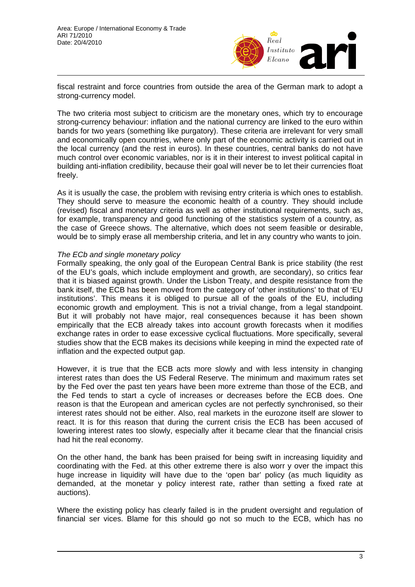

fiscal restraint and force countries from outside the area of the German mark to adopt a strong-currency model.

The two criteria most subject to criticism are the monetary ones, which try to encourage strong-currency behaviour: inflation and the national currency are linked to the euro within bands for two years (something like purgatory). These criteria are irrelevant for very small and economically open countries, where only part of the economic activity is carried out in the local currency (and the rest in euros). In these countries, central banks do not have much control over economic variables, nor is it in their interest to invest political capital in building anti-inflation credibility, because their goal will never be to let their currencies float freely.

As it is usually the case, the problem with revising entry criteria is which ones to establish. They should serve to measure the economic health of a country. They should include (revised) fiscal and monetary criteria as well as other institutional requirements, such as, for example, transparency and good functioning of the statistics system of a country, as the case of Greece shows. The alternative, which does not seem feasible or desirable, would be to simply erase all membership criteria, and let in any country who wants to join.

### *The ECb and single monetary policy*

Formally speaking, the only goal of the European Central Bank is price stability (the rest of the EU's goals, which include employment and growth, are secondary), so critics fear that it is biased against growth. Under the Lisbon Treaty, and despite resistance from the bank itself, the ECB has been moved from the category of 'other institutions' to that of 'EU institutions'. This means it is obliged to pursue all of the goals of the EU, including economic growth and employment. This is not a trivial change, from a legal standpoint. But it will probably not have major, real consequences because it has been shown empirically that the ECB already takes into account growth forecasts when it modifies exchange rates in order to ease excessive cyclical fluctuations. More specifically, several studies show that the ECB makes its decisions while keeping in mind the expected rate of inflation and the expected output gap.

However, it is true that the ECB acts more slowly and with less intensity in changing interest rates than does the US Federal Reserve. The minimum and maximum rates set by the Fed over the past ten years have been more extreme than those of the ECB, and the Fed tends to start a cycle of increases or decreases before the ECB does. One reason is that the European and american cycles are not perfectly synchronised, so their interest rates should not be either. Also, real markets in the eurozone itself are slower to react. It is for this reason that during the current crisis the ECB has been accused of lowering interest rates too slowly, especially after it became clear that the financial crisis had hit the real economy.

On the other hand, the bank has been praised for being swift in increasing liquidity and coordinating with the Fed. at this other extreme there is also worr y over the impact this huge increase in liquidity will have due to the 'open bar' policy (as much liquidity as demanded, at the monetar y policy interest rate, rather than setting a fixed rate at auctions).

Where the existing policy has clearly failed is in the prudent oversight and regulation of financial ser vices. Blame for this should go not so much to the ECB, which has no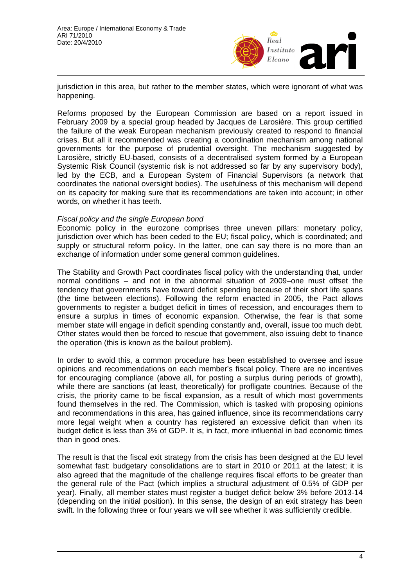

jurisdiction in this area, but rather to the member states, which were ignorant of what was happening.

Reforms proposed by the European Commission are based on a report issued in February 2009 by a special group headed by Jacques de Larosière. This group certified the failure of the weak European mechanism previously created to respond to financial crises. But all it recommended was creating a coordination mechanism among national governments for the purpose of prudential oversight. The mechanism suggested by Larosière, strictly EU-based, consists of a decentralised system formed by a European Systemic Risk Council (systemic risk is not addressed so far by any supervisory body), led by the ECB, and a European System of Financial Supervisors (a network that coordinates the national oversight bodies). The usefulness of this mechanism will depend on its capacity for making sure that its recommendations are taken into account; in other words, on whether it has teeth.

#### *Fiscal policy and the single European bond*

Economic policy in the eurozone comprises three uneven pillars: monetary policy, jurisdiction over which has been ceded to the EU; fiscal policy, which is coordinated; and supply or structural reform policy. In the latter, one can say there is no more than an exchange of information under some general common guidelines.

The Stability and Growth Pact coordinates fiscal policy with the understanding that, under normal conditions – and not in the abnormal situation of 2009–one must offset the tendency that governments have toward deficit spending because of their short life spans (the time between elections). Following the reform enacted in 2005, the Pact allows governments to register a budget deficit in times of recession, and encourages them to ensure a surplus in times of economic expansion. Otherwise, the fear is that some member state will engage in deficit spending constantly and, overall, issue too much debt. Other states would then be forced to rescue that government, also issuing debt to finance the operation (this is known as the bailout problem).

In order to avoid this, a common procedure has been established to oversee and issue opinions and recommendations on each member's fiscal policy. There are no incentives for encouraging compliance (above all, for posting a surplus during periods of growth), while there are sanctions (at least, theoretically) for profligate countries. Because of the crisis, the priority came to be fiscal expansion, as a result of which most governments found themselves in the red. The Commission, which is tasked with proposing opinions and recommendations in this area, has gained influence, since its recommendations carry more legal weight when a country has registered an excessive deficit than when its budget deficit is less than 3% of GDP. It is, in fact, more influential in bad economic times than in good ones.

The result is that the fiscal exit strategy from the crisis has been designed at the EU level somewhat fast: budgetary consolidations are to start in 2010 or 2011 at the latest; it is also agreed that the magnitude of the challenge requires fiscal efforts to be greater than the general rule of the Pact (which implies a structural adjustment of 0.5% of GDP per year). Finally, all member states must register a budget deficit below 3% before 2013-14 (depending on the initial position). In this sense, the design of an exit strategy has been swift. In the following three or four years we will see whether it was sufficiently credible.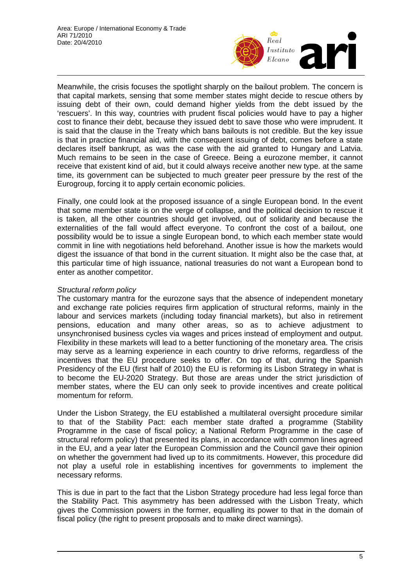

Meanwhile, the crisis focuses the spotlight sharply on the bailout problem. The concern is that capital markets, sensing that some member states might decide to rescue others by issuing debt of their own, could demand higher yields from the debt issued by the 'rescuers'. In this way, countries with prudent fiscal policies would have to pay a higher cost to finance their debt, because they issued debt to save those who were imprudent. It is said that the clause in the Treaty which bans bailouts is not credible. But the key issue is that in practice financial aid, with the consequent issuing of debt, comes before a state declares itself bankrupt, as was the case with the aid granted to Hungary and Latvia. Much remains to be seen in the case of Greece. Being a eurozone member, it cannot receive that existent kind of aid, but it could always receive another new type. at the same time, its government can be subjected to much greater peer pressure by the rest of the Eurogroup, forcing it to apply certain economic policies.

Finally, one could look at the proposed issuance of a single European bond. In the event that some member state is on the verge of collapse, and the political decision to rescue it is taken, all the other countries should get involved, out of solidarity and because the externalities of the fall would affect everyone. To confront the cost of a bailout, one possibility would be to issue a single European bond, to which each member state would commit in line with negotiations held beforehand. Another issue is how the markets would digest the issuance of that bond in the current situation. It might also be the case that, at this particular time of high issuance, national treasuries do not want a European bond to enter as another competitor.

## *Structural reform policy*

The customary mantra for the eurozone says that the absence of independent monetary and exchange rate policies requires firm application of structural reforms, mainly in the labour and services markets (including today financial markets), but also in retirement pensions, education and many other areas, so as to achieve adjustment to unsynchronised business cycles via wages and prices instead of employment and output. Flexibility in these markets will lead to a better functioning of the monetary area. The crisis may serve as a learning experience in each country to drive reforms, regardless of the incentives that the EU procedure seeks to offer. On top of that, during the Spanish Presidency of the EU (first half of 2010) the EU is reforming its Lisbon Strategy in what is to become the EU-2020 Strategy. But those are areas under the strict jurisdiction of member states, where the EU can only seek to provide incentives and create political momentum for reform.

Under the Lisbon Strategy, the EU established a multilateral oversight procedure similar to that of the Stability Pact: each member state drafted a programme (Stability Programme in the case of fiscal policy; a National Reform Programme in the case of structural reform policy) that presented its plans, in accordance with common lines agreed in the EU, and a year later the European Commission and the Council gave their opinion on whether the government had lived up to its commitments. However, this procedure did not play a useful role in establishing incentives for governments to implement the necessary reforms.

This is due in part to the fact that the Lisbon Strategy procedure had less legal force than the Stability Pact. This asymmetry has been addressed with the Lisbon Treaty, which gives the Commission powers in the former, equalling its power to that in the domain of fiscal policy (the right to present proposals and to make direct warnings).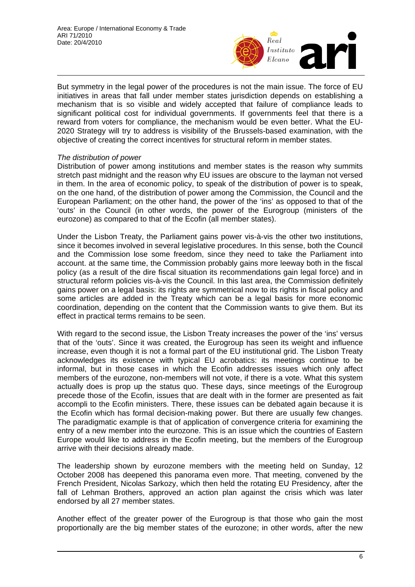

But symmetry in the legal power of the procedures is not the main issue. The force of EU initiatives in areas that fall under member states jurisdiction depends on establishing a mechanism that is so visible and widely accepted that failure of compliance leads to significant political cost for individual governments. If governments feel that there is a reward from voters for compliance, the mechanism would be even better. What the EU-2020 Strategy will try to address is visibility of the Brussels-based examination, with the objective of creating the correct incentives for structural reform in member states.

### *The distribution of power*

Distribution of power among institutions and member states is the reason why summits stretch past midnight and the reason why EU issues are obscure to the layman not versed in them. In the area of economic policy, to speak of the distribution of power is to speak, on the one hand, of the distribution of power among the Commission, the Council and the European Parliament; on the other hand, the power of the 'ins' as opposed to that of the 'outs' in the Council (in other words, the power of the Eurogroup (ministers of the eurozone) as compared to that of the Ecofin (all member states).

Under the Lisbon Treaty, the Parliament gains power vis-à-vis the other two institutions, since it becomes involved in several legislative procedures. In this sense, both the Council and the Commission lose some freedom, since they need to take the Parliament into account. at the same time, the Commission probably gains more leeway both in the fiscal policy (as a result of the dire fiscal situation its recommendations gain legal force) and in structural reform policies vis-à-vis the Council. In this last area, the Commission definitely gains power on a legal basis: its rights are symmetrical now to its rights in fiscal policy and some articles are added in the Treaty which can be a legal basis for more economic coordination, depending on the content that the Commission wants to give them. But its effect in practical terms remains to be seen.

With regard to the second issue, the Lisbon Treaty increases the power of the 'ins' versus that of the 'outs'. Since it was created, the Eurogroup has seen its weight and influence increase, even though it is not a formal part of the EU institutional grid. The Lisbon Treaty acknowledges its existence with typical EU acrobatics: its meetings continue to be informal, but in those cases in which the Ecofin addresses issues which only affect members of the eurozone, non-members will not vote, if there is a vote. What this system actually does is prop up the status quo. These days, since meetings of the Eurogroup precede those of the Ecofin, issues that are dealt with in the former are presented as fait accompli to the Ecofin ministers. There, these issues can be debated again because it is the Ecofin which has formal decision-making power. But there are usually few changes. The paradigmatic example is that of application of convergence criteria for examining the entry of a new member into the eurozone. This is an issue which the countries of Eastern Europe would like to address in the Ecofin meeting, but the members of the Eurogroup arrive with their decisions already made.

The leadership shown by eurozone members with the meeting held on Sunday, 12 October 2008 has deepened this panorama even more. That meeting, convened by the French President, Nicolas Sarkozy, which then held the rotating EU Presidency, after the fall of Lehman Brothers, approved an action plan against the crisis which was later endorsed by all 27 member states.

Another effect of the greater power of the Eurogroup is that those who gain the most proportionally are the big member states of the eurozone; in other words, after the new